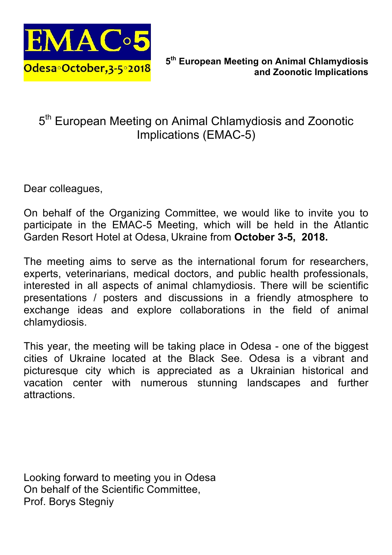

# 5<sup>th</sup> European Meeting on Animal Chlamydiosis and Zoonotic Implications (EMAC-5)

Dear colleagues,

On behalf of the Organizing Committee, we would like to invite you to participate in the EMAC-5 Meeting, which will be held in the Atlantic Garden Resort Hotel at Odesa, Ukraine from **October 3-5, 2018.**

The meeting aims to serve as the international forum for researchers, experts, veterinarians, medical doctors, and public health professionals, interested in all aspects of animal chlamydiosis. There will be scientific presentations / posters and discussions in a friendly atmosphere to exchange ideas and explore collaborations in the field of animal chlamydiosis.

This year, the meeting will be taking place in Odesa - one of the biggest cities of Ukraine located at the Black See. Odesa is a vibrant and picturesque city which is appreciated as a Ukrainian historical and vacation center with numerous stunning landscapes and further attractions.

Looking forward to meeting you in Odesa On behalf of the Scientific Committee, Prof. Borys Stegniy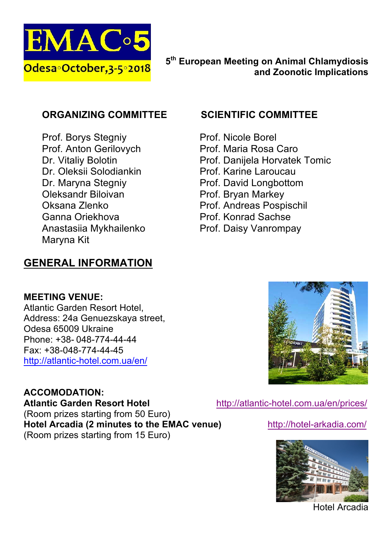

#### **ORGANIZING COMMITTEE**

Prof. Borys Stegniy Prof. Anton Gerilovych Dr. Vitaliy Bolotin Dr. Oleksii Solodiankin Dr. Maryna Stegniy Oleksandr Biloivan Oksana Zlenko Ganna Oriekhova Anastasiia Mykhailenko Maryna Kit

# **GENERAL INFORMATION**

#### **SCIENTIFIC COMMITTEE**

- Prof. Nicole Borel Prof. Maria Rosa Caro Prof. Danijela Horvatek Tomic Prof. Karine Laroucau Prof. David Longbottom Prof. Bryan Markey Prof. Andreas Pospischil
- Prof. Konrad Sachse
- Prof. Daisy Vanrompay

#### **MEETING VENUE:**

Atlantic Garden Resort Hotel, Address: 24a Genuezskaya street, Odesa 65009 Ukraine Phone: +38- 048-774-44-44 Fax: +38-048-774-44-45 http://atlantic-hotel.com.ua/en/

## **ACCOMODATION:**

**Atlantic Garden Resort Hotel** http://atlantic-hotel.com.ua/en/prices/ (Room prizes starting from 50 Euro) **Hotel Arcadia (2 minutes to the EMAC venue)** http://hotel-arkadia.com/ (Room prizes starting from 15 Euro)





Hotel Arcadia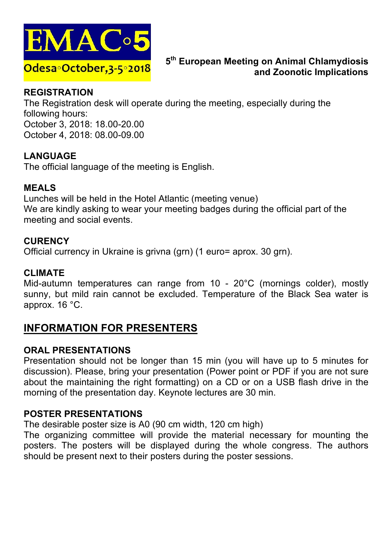

#### **REGISTRATION**

The Registration desk will operate during the meeting, especially during the following hours: October 3, 2018: 18.00-20.00 October 4, 2018: 08.00-09.00

### **LANGUAGE**

The official language of the meeting is English.

#### **MEALS**

Lunches will be held in the Hotel Atlantic (meeting venue) We are kindly asking to wear your meeting badges during the official part of the meeting and social events.

#### **CURENCY**

Official currency in Ukraine is grivna (grn) (1 euro= aprox. 30 grn).

#### **CLIMATE**

Mid-autumn temperatures can range from 10 - 20°C (mornings colder), mostly sunny, but mild rain cannot be excluded. Temperature of the Black Sea water is approx. 16 °C.

# **INFORMATION FOR PRESENTERS**

#### **ORAL PRESENTATIONS**

Presentation should not be longer than 15 min (you will have up to 5 minutes for discussion). Please, bring your presentation (Power point or PDF if you are not sure about the maintaining the right formatting) on a CD or on a USB flash drive in the morning of the presentation day. Keynote lectures are 30 min.

#### **POSTER PRESENTATIONS**

The desirable poster size is A0 (90 cm width, 120 cm high)

The organizing committee will provide the material necessary for mounting the posters. The posters will be displayed during the whole congress. The authors should be present next to their posters during the poster sessions.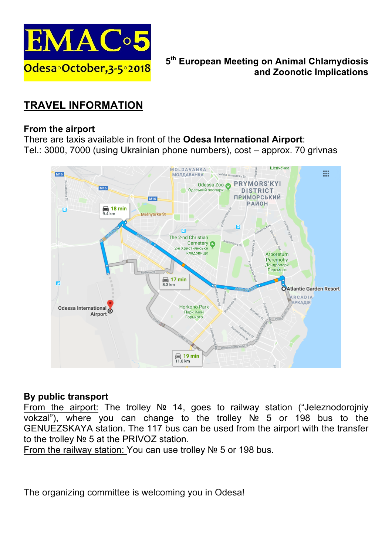

# **TRAVEL INFORMATION**

#### **From the airport**

There are taxis available in front of the **Odesa International Airport**: Tel.: 3000, 7000 (using Ukrainian phone numbers), cost – approx. 70 grivnas



#### **By public transport**

From the airport: The trolley № 14, goes to railway station ("Jeleznodorojniy vokzal"), where you can change to the trolley № 5 or 198 bus to the GENUEZSKAYA station. The 117 bus can be used from the airport with the transfer to the trolley № 5 at the PRIVOZ station.

From the railway station: You can use trolley № 5 or 198 bus.

The organizing committee is welcoming you in Odesa!